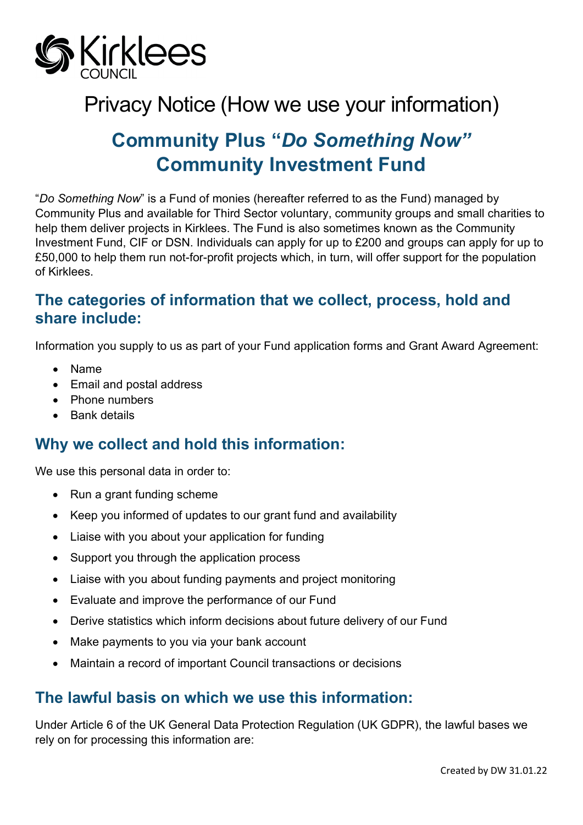

# Privacy Notice (How we use your information)

# **Community Plus "***Do Something Now"* **Community Investment Fund**

"*Do Something Now*" is a Fund of monies (hereafter referred to as the Fund) managed by Community Plus and available for Third Sector voluntary, community groups and small charities to help them deliver projects in Kirklees. The Fund is also sometimes known as the Community Investment Fund, CIF or DSN. Individuals can apply for up to £200 and groups can apply for up to £50,000 to help them run not-for-profit projects which, in turn, will offer support for the population of Kirklees.

## **The categories of information that we collect, process, hold and share include:**

Information you supply to us as part of your Fund application forms and Grant Award Agreement:

- Name
- Email and postal address
- Phone numbers
- Bank details

## **Why we collect and hold this information:**

We use this personal data in order to:

- Run a grant funding scheme
- Keep you informed of updates to our grant fund and availability
- Liaise with you about your application for funding
- Support you through the application process
- Liaise with you about funding payments and project monitoring
- Evaluate and improve the performance of our Fund
- Derive statistics which inform decisions about future delivery of our Fund
- Make payments to you via your bank account
- Maintain a record of important Council transactions or decisions

## **The lawful basis on which we use this information:**

Under Article 6 of the UK General Data Protection Regulation (UK GDPR), the lawful bases we rely on for processing this information are: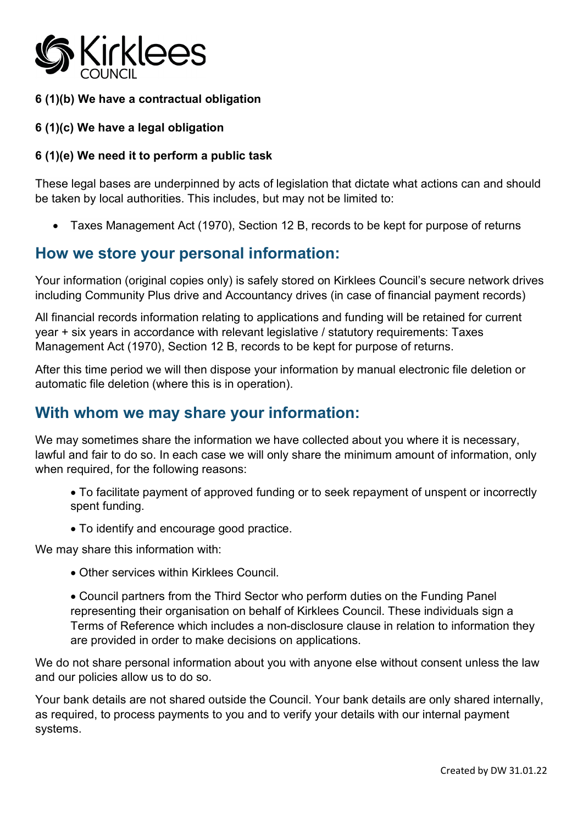

#### **6 (1)(b) We have a contractual obligation**

#### **6 (1)(c) We have a legal obligation**

#### **6 (1)(e) We need it to perform a public task**

These legal bases are underpinned by acts of legislation that dictate what actions can and should be taken by local authorities. This includes, but may not be limited to:

• Taxes Management Act (1970), Section 12 B, records to be kept for purpose of returns

### **How we store your personal information:**

Your information (original copies only) is safely stored on Kirklees Council's secure network drives including Community Plus drive and Accountancy drives (in case of financial payment records)

All financial records information relating to applications and funding will be retained for current year + six years in accordance with relevant legislative / statutory requirements: Taxes Management Act (1970), Section 12 B, records to be kept for purpose of returns.

After this time period we will then dispose your information by manual electronic file deletion or automatic file deletion (where this is in operation).

### **With whom we may share your information:**

We may sometimes share the information we have collected about you where it is necessary, lawful and fair to do so. In each case we will only share the minimum amount of information, only when required, for the following reasons:

• To facilitate payment of approved funding or to seek repayment of unspent or incorrectly spent funding.

• To identify and encourage good practice.

We may share this information with:

• Other services within Kirklees Council.

• Council partners from the Third Sector who perform duties on the Funding Panel representing their organisation on behalf of Kirklees Council. These individuals sign a Terms of Reference which includes a non-disclosure clause in relation to information they are provided in order to make decisions on applications.

We do not share personal information about you with anyone else without consent unless the law and our policies allow us to do so.

Your bank details are not shared outside the Council. Your bank details are only shared internally, as required, to process payments to you and to verify your details with our internal payment systems.